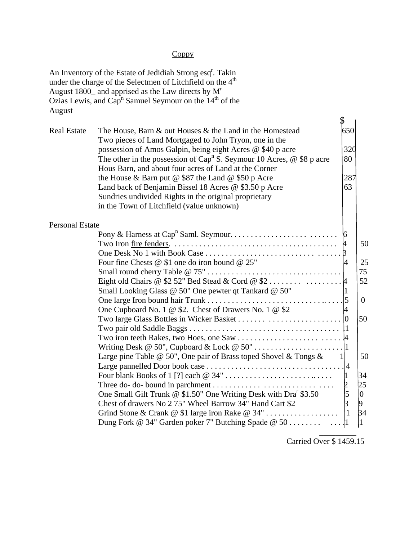## Coppy

| August                 | An Inventory of the Estate of Jedidiah Strong esq <sup>r</sup> . Takin<br>under the charge of the Selectmen of Litchfield on the 4 <sup>th</sup><br>August 1800_ and apprised as the Law directs by M <sup>r</sup><br>Ozias Lewis, and Cap <sup>n</sup> Samuel Seymour on the 14 <sup>th</sup> of the                                                                                                                                                                                                                                                          |                                                                    |                                                                                                  |
|------------------------|----------------------------------------------------------------------------------------------------------------------------------------------------------------------------------------------------------------------------------------------------------------------------------------------------------------------------------------------------------------------------------------------------------------------------------------------------------------------------------------------------------------------------------------------------------------|--------------------------------------------------------------------|--------------------------------------------------------------------------------------------------|
| <b>Real Estate</b>     | The House, Barn & out Houses & the Land in the Homestead<br>Two pieces of Land Mortgaged to John Tryon, one in the<br>possession of Amos Galpin, being eight Acres @ \$40 p acre<br>The other in the possession of Cap <sup>n</sup> S. Seymour 10 Acres, $\omega$ \$8 p acre<br>Hous Barn, and about four acres of Land at the Corner<br>the House & Barn put $@$ \$87 the Land $@$ \$50 p Acre<br>Land back of Benjamin Bissel 18 Acres @ \$3.50 p Acre<br>Sundries undivided Rights in the original proprietary<br>in the Town of Litchfield (value unknown) | 650<br>320<br>80<br>287<br>63                                      |                                                                                                  |
| <b>Personal Estate</b> | Four fine Chests @ \$1 one do iron bound @ 25"<br>Small Looking Glass @ 50" One pewter qt Tankard @ 50"<br>One Cupboard No. 1 @ \$2. Chest of Drawers No. 1 @ \$2<br>Large pine Table @ 50", One pair of Brass toped Shovel & Tongs $\&$ 1<br>One Small Gilt Trunk @ \$1.50" One Writing Desk with Dra <sup>r</sup> \$3.50<br>Chest of drawers No 2 75" Wheel Barrow 34" Hand Cart \$2                                                                                                                                                                         | $\overline{4}$<br>4<br>$\begin{bmatrix} 2 \\ 5 \\ 3 \end{bmatrix}$ | 50<br>25<br>75<br>52<br>$\overline{0}$<br>50<br>50<br>34<br>25<br>$ 0\rangle$<br>34<br>$\vert$ 1 |

Carried Over \$ 1459.15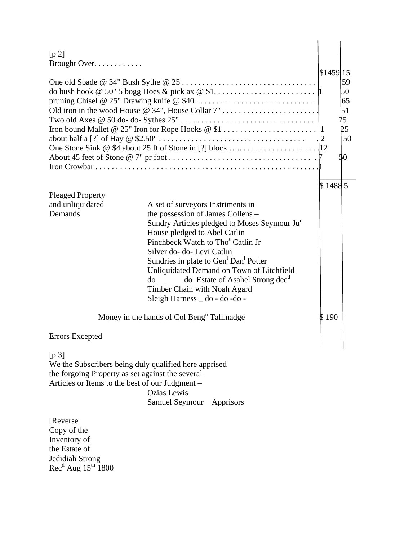| [p 2]                                            |                                                                        |                       |                  |
|--------------------------------------------------|------------------------------------------------------------------------|-----------------------|------------------|
| Brought Over.                                    |                                                                        | $$1459$ <sup>15</sup> |                  |
|                                                  |                                                                        |                       | 59               |
|                                                  |                                                                        |                       |                  |
|                                                  |                                                                        |                       | 50<br>65         |
|                                                  | Old iron in the wood House @ 34", House Collar 7"                      |                       | $\vert 51 \vert$ |
|                                                  |                                                                        |                       | 75               |
|                                                  |                                                                        |                       | þ5               |
|                                                  |                                                                        |                       | 50               |
|                                                  |                                                                        |                       |                  |
|                                                  |                                                                        |                       | \$0              |
|                                                  |                                                                        |                       |                  |
|                                                  |                                                                        | \$14885               |                  |
| <b>Pleaged Property</b>                          |                                                                        |                       |                  |
| and unliquidated<br>Demands                      | A set of surveyors Instriments in<br>the possession of James Collens - |                       |                  |
|                                                  | Sundry Articles pledged to Moses Seymour Ju <sup>r</sup>               |                       |                  |
|                                                  | House pledged to Abel Catlin                                           |                       |                  |
|                                                  | Pinchbeck Watch to Tho <sup>s</sup> Catlin Jr                          |                       |                  |
|                                                  | Silver do- do- Levi Catlin                                             |                       |                  |
|                                                  | Sundries in plate to Gen <sup>1</sup> Dan <sup>1</sup> Potter          |                       |                  |
|                                                  | Unliquidated Demand on Town of Litchfield                              |                       |                  |
|                                                  | $\phi$ = $\phi$ do Estate of Asahel Strong dec <sup>d</sup>            |                       |                  |
|                                                  | Timber Chain with Noah Agard<br>Sleigh Harness _ do - do - do -        |                       |                  |
|                                                  |                                                                        |                       |                  |
|                                                  | Money in the hands of Col Beng <sup>n</sup> Tallmadge                  | \$ 190                |                  |
| <b>Errors Excepted</b>                           |                                                                        |                       |                  |
| [p 3]                                            |                                                                        |                       |                  |
|                                                  | We the Subscribers being duly qualified here apprised                  |                       |                  |
| the forgoing Property as set against the several |                                                                        |                       |                  |
| Articles or Items to the best of our Judgment -  |                                                                        |                       |                  |
|                                                  | <b>Ozias Lewis</b><br>Samuel Seymour Apprisors                         |                       |                  |
|                                                  |                                                                        |                       |                  |
| [Reverse]                                        |                                                                        |                       |                  |
| Copy of the                                      |                                                                        |                       |                  |
| Inventory of                                     |                                                                        |                       |                  |

Inventory of the Estate of Jedidiah Strong  $Rec<sup>d</sup> Aug 15<sup>th</sup> 1800$